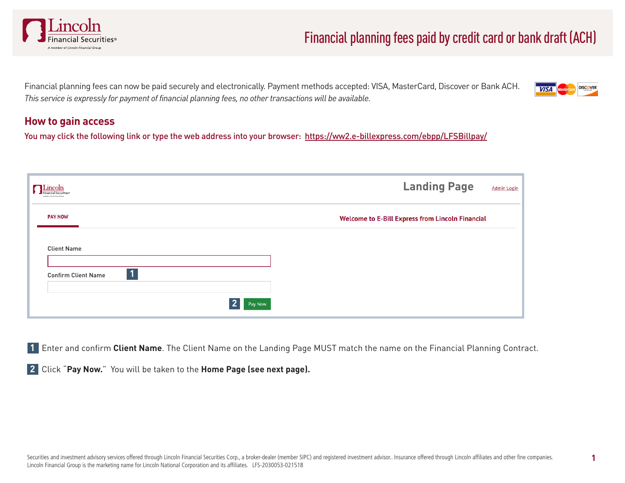

# Financial planning fees paid by credit card or bank draft (ACH)

Financial planning fees can now be paid securely and electronically. Payment methods accepted: VISA, MasterCard, Discover or Bank ACH. *This service is expressly for payment of financial planning fees, no other transactions will be available.*



#### **How to gain access**

You may click the following link or type the web address into your browser: https://ww2.e-billexpress.com/ebpp/LFSBillpay/

| $\blacksquare$ Lincoln<br>inancial Securities<br>A member of Lincoln Pagestal Shows | <b>Landing Page</b>                                     | <b>Admin Login</b> |
|-------------------------------------------------------------------------------------|---------------------------------------------------------|--------------------|
| <b>PAY NOW</b>                                                                      | <b>Welcome to E-Bill Express from Lincoln Financial</b> |                    |
| <b>Client Name</b>                                                                  |                                                         |                    |
| 1<br><b>Confirm Client Name</b>                                                     |                                                         |                    |
|                                                                                     | Pay Now                                                 |                    |

**1** Enter and confirm **Client Name**. The Client Name on the Landing Page MUST match the name on the Financial Planning Contract.

**2** Click "**Pay Now.**" You will be taken to the **Home Page (see next page).**